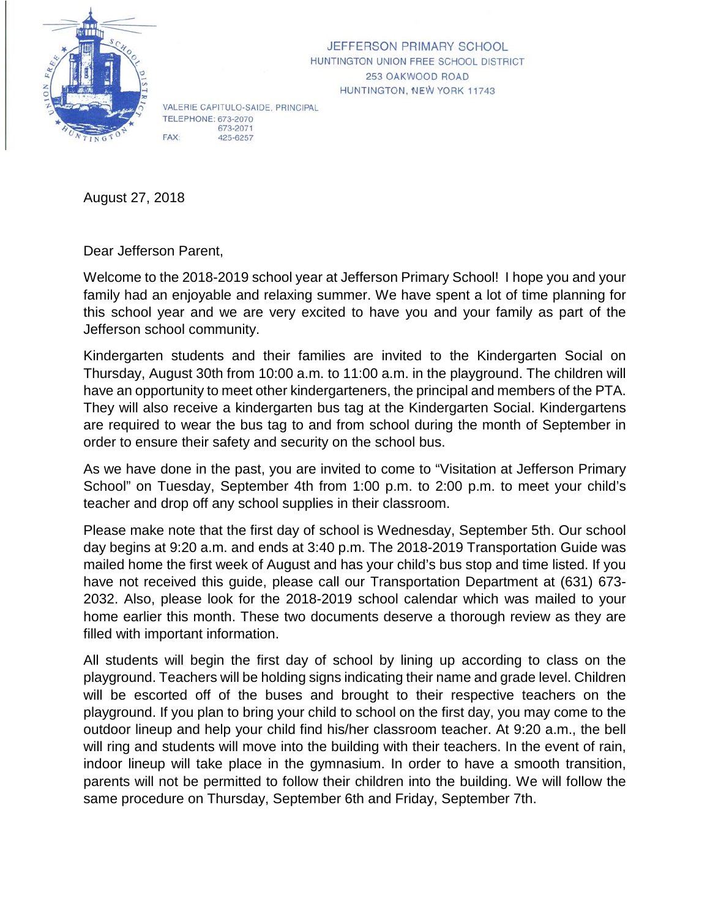

JEFFERSON PRIMARY SCHOOL HUNTINGTON UNION FREE SCHOOL DISTRICT 253 OAKWOOD ROAD HUNTINGTON, NEW YORK 11743

VALERIE CAPITULO-SAIDE, PRINCIPAL TELEPHONE: 673-2070 673-2071 FAX: 425-6257

August 27, 2018

Dear Jefferson Parent,

Welcome to the 2018-2019 school year at Jefferson Primary School! I hope you and your family had an enjoyable and relaxing summer. We have spent a lot of time planning for this school year and we are very excited to have you and your family as part of the Jefferson school community.

Kindergarten students and their families are invited to the Kindergarten Social on Thursday, August 30th from 10:00 a.m. to 11:00 a.m. in the playground. The children will have an opportunity to meet other kindergarteners, the principal and members of the PTA. They will also receive a kindergarten bus tag at the Kindergarten Social. Kindergartens are required to wear the bus tag to and from school during the month of September in order to ensure their safety and security on the school bus.

As we have done in the past, you are invited to come to "Visitation at Jefferson Primary School" on Tuesday, September 4th from 1:00 p.m. to 2:00 p.m. to meet your child's teacher and drop off any school supplies in their classroom.

Please make note that the first day of school is Wednesday, September 5th. Our school day begins at 9:20 a.m. and ends at 3:40 p.m. The 2018-2019 Transportation Guide was mailed home the first week of August and has your child's bus stop and time listed. If you have not received this guide, please call our Transportation Department at (631) 673- 2032. Also, please look for the 2018-2019 school calendar which was mailed to your home earlier this month. These two documents deserve a thorough review as they are filled with important information.

All students will begin the first day of school by lining up according to class on the playground. Teachers will be holding signs indicating their name and grade level. Children will be escorted off of the buses and brought to their respective teachers on the playground. If you plan to bring your child to school on the first day, you may come to the outdoor lineup and help your child find his/her classroom teacher. At 9:20 a.m., the bell will ring and students will move into the building with their teachers. In the event of rain, indoor lineup will take place in the gymnasium. In order to have a smooth transition, parents will not be permitted to follow their children into the building. We will follow the same procedure on Thursday, September 6th and Friday, September 7th.